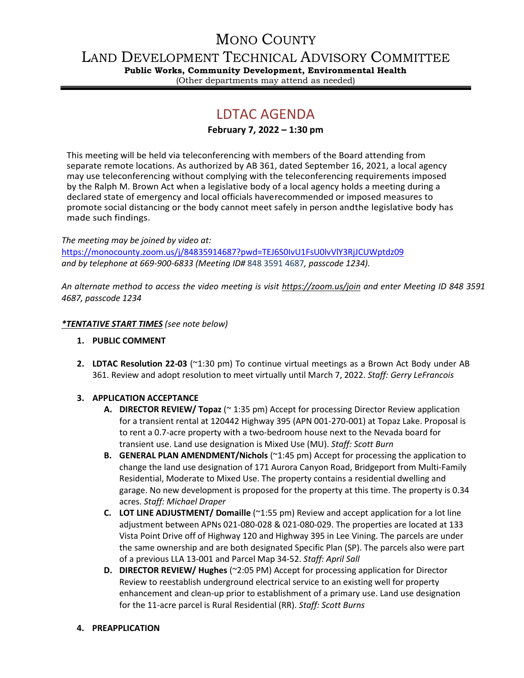## MONO COUNTY

LAND DEVELOPMENT TECHNICAL ADVISORY COMMITTEE

**Public Works, Community Development, Environmental Health** (Other departments may attend as needed)

# LDTAC AGENDA

## **February 7, 2022 – 1:30 pm**

This meeting will be held via teleconferencing with members of the Board attending from separate remote locations. As authorized by AB 361, dated September 16, 2021, a local agency may use teleconferencing without complying with the teleconferencing requirements imposed by the Ralph M. Brown Act when a legislative body of a local agency holds a meeting during a declared state of emergency and local officials haverecommended or imposed measures to promote social distancing or the body cannot meet safely in person andthe legislative body has made such findings.

*The meeting may be joined by video at:*

<https://monocounty.zoom.us/j/84835914687?pwd=TEJ6S0IvU1FsU0lvVlY3RjJCUWptdz09> *and by telephone at 669-900-6833 (Meeting ID#* 848 3591 4687*, passcode 1234).* 

*An alternate method to access the video meeting is visit <https://zoom.us/join> and enter Meeting ID 848 3591 4687, passcode 1234*

#### *\*TENTATIVE START TIMES (see note below)*

- **1. PUBLIC COMMENT**
- **2. LDTAC Resolution 22-03** (~1:30 pm) To continue virtual meetings as a Brown Act Body under AB 361. Review and adopt resolution to meet virtually until March 7, 2022. *Staff: Gerry LeFrancois*

## **3. APPLICATION ACCEPTANCE**

- **A. DIRECTOR REVIEW/ Topaz** (~ 1:35 pm) Accept for processing Director Review application for a transient rental at 120442 Highway 395 (APN 001-270-001) at Topaz Lake. Proposal is to rent a 0.7-acre property with a two-bedroom house next to the Nevada board for transient use. Land use designation is Mixed Use (MU). *Staff: Scott Burn*
- **B. GENERAL PLAN AMENDMENT/Nichols** (~1:45 pm) Accept for processing the application to change the land use designation of 171 Aurora Canyon Road, Bridgeport from Multi-Family Residential, Moderate to Mixed Use. The property contains a residential dwelling and garage. No new development is proposed for the property at this time. The property is 0.34 acres. *Staff: Michael Draper*
- **C. LOT LINE ADJUSTMENT/ Domaille** (~1:55 pm) Review and accept application for a lot line adjustment between APNs 021-080-028 & 021-080-029. The properties are located at 133 Vista Point Drive off of Highway 120 and Highway 395 in Lee Vining. The parcels are under the same ownership and are both designated Specific Plan (SP). The parcels also were part of a previous LLA 13-001 and Parcel Map 34-52. *Staff: April Sall*
- **D. DIRECTOR REVIEW/ Hughes** (~2:05 PM) Accept for processing application for Director Review to reestablish underground electrical service to an existing well for property enhancement and clean-up prior to establishment of a primary use. Land use designation for the 11-acre parcel is Rural Residential (RR). *Staff: Scott Burns*